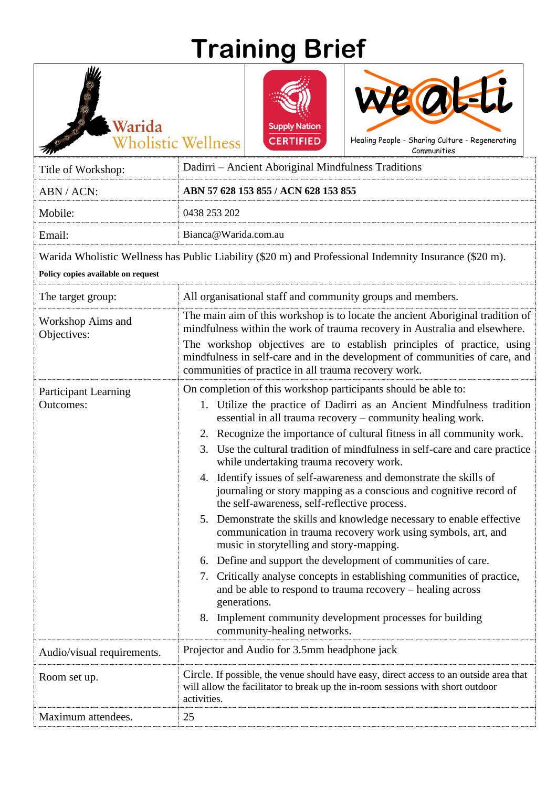## **Training Brief**



Warida

**Wholistic Wellness** 



Communities

Title of Workshop: Dadirri – Ancient Aboriginal Mindfulness Traditions ABN / ACN: **ABN 57 628 153 855 / ACN 628 153 855** Mobile: 0438 253 202 Email: Bianca@Warida.com.au Warida Wholistic Wellness has Public Liability (\$20 m) and Professional Indemnity Insurance (\$20 m). **Policy copies available on request**  The target group: All organisational staff and community groups and members. Workshop Aims and Objectives: The main aim of this workshop is to locate the ancient Aboriginal tradition of mindfulness within the work of trauma recovery in Australia and elsewhere. The workshop objectives are to establish principles of practice, using mindfulness in self-care and in the development of communities of care, and communities of practice in all trauma recovery work. Participant Learning Outcomes: On completion of this workshop participants should be able to: 1. Utilize the practice of Dadirri as an Ancient Mindfulness tradition essential in all trauma recovery – community healing work. 2. Recognize the importance of cultural fitness in all community work. 3. Use the cultural tradition of mindfulness in self-care and care practice while undertaking trauma recovery work. 4. Identify issues of self-awareness and demonstrate the skills of journaling or story mapping as a conscious and cognitive record of the self-awareness, self-reflective process. 5. Demonstrate the skills and knowledge necessary to enable effective communication in trauma recovery work using symbols, art, and music in storytelling and story-mapping. 6. Define and support the development of communities of care. 7. Critically analyse concepts in establishing communities of practice, and be able to respond to trauma recovery – healing across generations. 8. Implement community development processes for building community-healing networks. Audio/visual requirements. Projector and Audio for 3.5mm headphone jack Room set up. Circle. If possible, the venue should have easy, direct access to an outside area that will allow the facilitator to break up the in-room sessions with short outdoor activities. Maximum attendees. 25